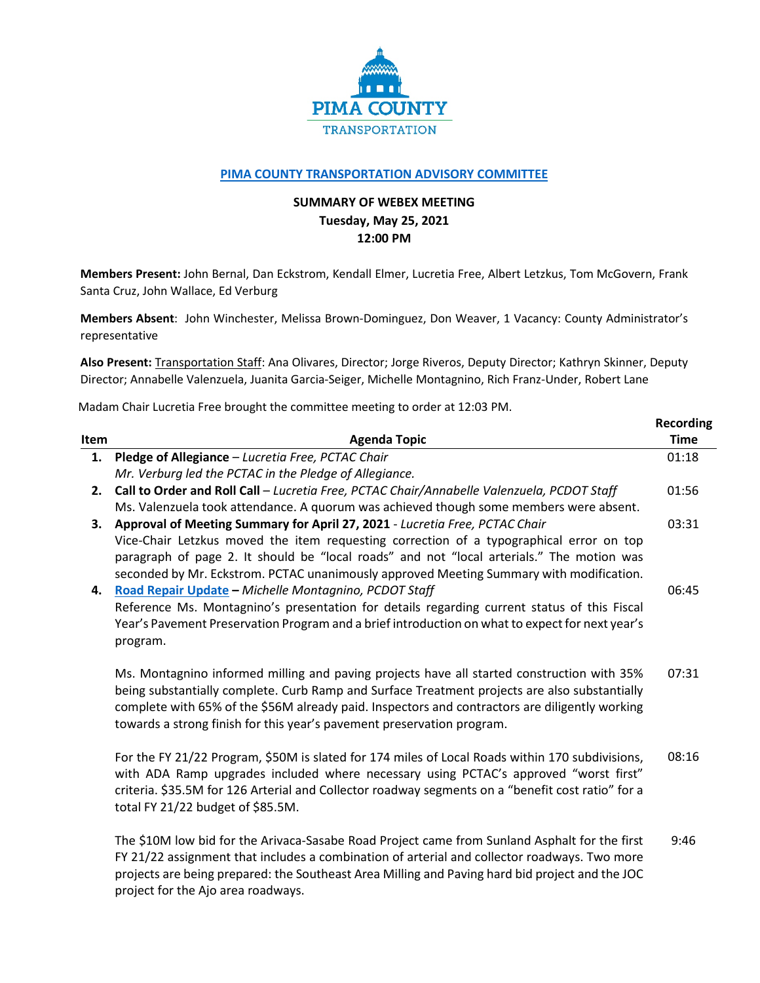

## **[PIMA COUNTY TRANSPORTATION ADVISORY COMMITTEE](https://webcms.pima.gov/cms/One.aspx?portalId=169&pageId=355530)**

## **SUMMARY OF WEBEX MEETING Tuesday, May 25, 2021 12:00 PM**

**Members Present:** John Bernal, Dan Eckstrom, Kendall Elmer, Lucretia Free, Albert Letzkus, Tom McGovern, Frank Santa Cruz, John Wallace, Ed Verburg

**Members Absent**: John Winchester, Melissa Brown-Dominguez, Don Weaver, 1 Vacancy: County Administrator's representative

**Also Present:** Transportation Staff: Ana Olivares, Director; Jorge Riveros, Deputy Director; Kathryn Skinner, Deputy Director; Annabelle Valenzuela, Juanita Garcia-Seiger, Michelle Montagnino, Rich Franz-Under, Robert Lane

**Recording**

Madam Chair Lucretia Free brought the committee meeting to order at 12:03 PM.

| Item | <b>Agenda Topic</b>                                                                                                                                                                                                                                                                                                                                                     | <b>Time</b> |
|------|-------------------------------------------------------------------------------------------------------------------------------------------------------------------------------------------------------------------------------------------------------------------------------------------------------------------------------------------------------------------------|-------------|
| 1.   | Pledge of Allegiance - Lucretia Free, PCTAC Chair                                                                                                                                                                                                                                                                                                                       | 01:18       |
|      | Mr. Verburg led the PCTAC in the Pledge of Allegiance.                                                                                                                                                                                                                                                                                                                  |             |
| 2.   | Call to Order and Roll Call - Lucretia Free, PCTAC Chair/Annabelle Valenzuela, PCDOT Staff                                                                                                                                                                                                                                                                              | 01:56       |
|      | Ms. Valenzuela took attendance. A quorum was achieved though some members were absent.                                                                                                                                                                                                                                                                                  |             |
| 3.   | Approval of Meeting Summary for April 27, 2021 - Lucretia Free, PCTAC Chair                                                                                                                                                                                                                                                                                             | 03:31       |
|      | Vice-Chair Letzkus moved the item requesting correction of a typographical error on top<br>paragraph of page 2. It should be "local roads" and not "local arterials." The motion was                                                                                                                                                                                    |             |
|      | seconded by Mr. Eckstrom. PCTAC unanimously approved Meeting Summary with modification.                                                                                                                                                                                                                                                                                 |             |
| 4.   | Road Repair Update - Michelle Montagnino, PCDOT Staff                                                                                                                                                                                                                                                                                                                   | 06:45       |
|      | Reference Ms. Montagnino's presentation for details regarding current status of this Fiscal                                                                                                                                                                                                                                                                             |             |
|      | Year's Pavement Preservation Program and a brief introduction on what to expect for next year's                                                                                                                                                                                                                                                                         |             |
|      | program.                                                                                                                                                                                                                                                                                                                                                                |             |
|      | Ms. Montagnino informed milling and paving projects have all started construction with 35%<br>being substantially complete. Curb Ramp and Surface Treatment projects are also substantially<br>complete with 65% of the \$56M already paid. Inspectors and contractors are diligently working<br>towards a strong finish for this year's pavement preservation program. | 07:31       |
|      | For the FY 21/22 Program, \$50M is slated for 174 miles of Local Roads within 170 subdivisions,<br>with ADA Ramp upgrades included where necessary using PCTAC's approved "worst first"<br>criteria. \$35.5M for 126 Arterial and Collector roadway segments on a "benefit cost ratio" for a<br>total FY 21/22 budget of \$85.5M.                                       | 08:16       |
|      | The \$10M low bid for the Arivaca-Sasabe Road Project came from Sunland Asphalt for the first<br>FY 21/22 assignment that includes a combination of arterial and collector roadways. Two more<br>projects are being prepared: the Southeast Area Milling and Paving hard bid project and the JOC<br>project for the Ajo area roadways.                                  | 9:46        |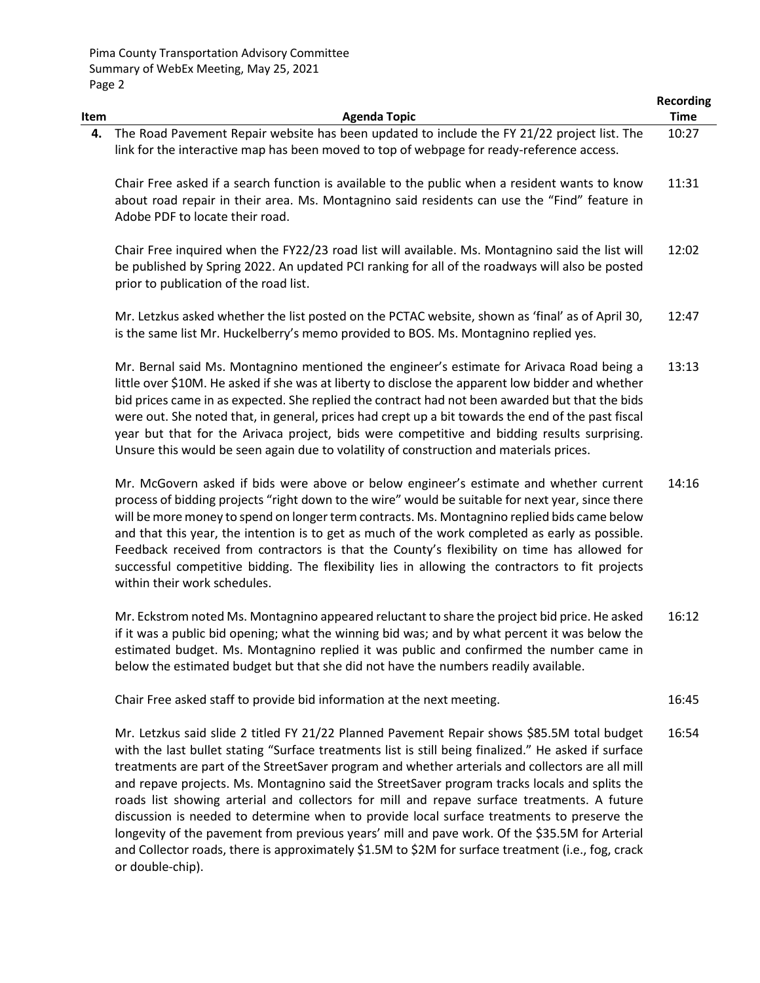|            |                                                                                                                                                                                                                                                                                                                                                                                                                                                                                                                                                                                                                                   | <b>Recording</b>     |
|------------|-----------------------------------------------------------------------------------------------------------------------------------------------------------------------------------------------------------------------------------------------------------------------------------------------------------------------------------------------------------------------------------------------------------------------------------------------------------------------------------------------------------------------------------------------------------------------------------------------------------------------------------|----------------------|
| Item<br>4. | <b>Agenda Topic</b><br>The Road Pavement Repair website has been updated to include the FY 21/22 project list. The                                                                                                                                                                                                                                                                                                                                                                                                                                                                                                                | <b>Time</b><br>10:27 |
|            | link for the interactive map has been moved to top of webpage for ready-reference access.                                                                                                                                                                                                                                                                                                                                                                                                                                                                                                                                         |                      |
|            | Chair Free asked if a search function is available to the public when a resident wants to know<br>about road repair in their area. Ms. Montagnino said residents can use the "Find" feature in<br>Adobe PDF to locate their road.                                                                                                                                                                                                                                                                                                                                                                                                 | 11:31                |
|            | Chair Free inquired when the FY22/23 road list will available. Ms. Montagnino said the list will<br>be published by Spring 2022. An updated PCI ranking for all of the roadways will also be posted<br>prior to publication of the road list.                                                                                                                                                                                                                                                                                                                                                                                     | 12:02                |
|            | Mr. Letzkus asked whether the list posted on the PCTAC website, shown as 'final' as of April 30,<br>is the same list Mr. Huckelberry's memo provided to BOS. Ms. Montagnino replied yes.                                                                                                                                                                                                                                                                                                                                                                                                                                          | 12:47                |
|            | Mr. Bernal said Ms. Montagnino mentioned the engineer's estimate for Arivaca Road being a<br>little over \$10M. He asked if she was at liberty to disclose the apparent low bidder and whether<br>bid prices came in as expected. She replied the contract had not been awarded but that the bids<br>were out. She noted that, in general, prices had crept up a bit towards the end of the past fiscal<br>year but that for the Arivaca project, bids were competitive and bidding results surprising.<br>Unsure this would be seen again due to volatility of construction and materials prices.                                | 13:13                |
|            | Mr. McGovern asked if bids were above or below engineer's estimate and whether current<br>process of bidding projects "right down to the wire" would be suitable for next year, since there<br>will be more money to spend on longer term contracts. Ms. Montagnino replied bids came below<br>and that this year, the intention is to get as much of the work completed as early as possible.<br>Feedback received from contractors is that the County's flexibility on time has allowed for<br>successful competitive bidding. The flexibility lies in allowing the contractors to fit projects<br>within their work schedules. | 14:16                |
|            | Mr. Eckstrom noted Ms. Montagnino appeared reluctant to share the project bid price. He asked<br>if it was a public bid opening; what the winning bid was; and by what percent it was below the<br>estimated budget. Ms. Montagnino replied it was public and confirmed the number came in<br>below the estimated budget but that she did not have the numbers readily available.                                                                                                                                                                                                                                                 | 16:12                |
|            | Chair Free asked staff to provide bid information at the next meeting.                                                                                                                                                                                                                                                                                                                                                                                                                                                                                                                                                            | 16:45                |
|            | Mr. Letzkus said slide 2 titled FY 21/22 Planned Pavement Repair shows \$85.5M total budget<br>with the last bullet stating "Surface treatments list is still being finalized." He asked if surface<br>treatments are part of the StreetSaver program and whether arterials and collectors are all mill<br>and repave projects. Ms. Montagnino said the StreetSaver program tracks locals and splits the<br>reade list chowing orterial and collectors for mill and renove surface treatments. A future                                                                                                                           | 16:54                |

roads list showing arterial and collectors for mill and repave surface treatments. A future discussion is needed to determine when to provide local surface treatments to preserve the longevity of the pavement from previous years' mill and pave work. Of the \$35.5M for Arterial and Collector roads, there is approximately \$1.5M to \$2M for surface treatment (i.e., fog, crack or double-chip).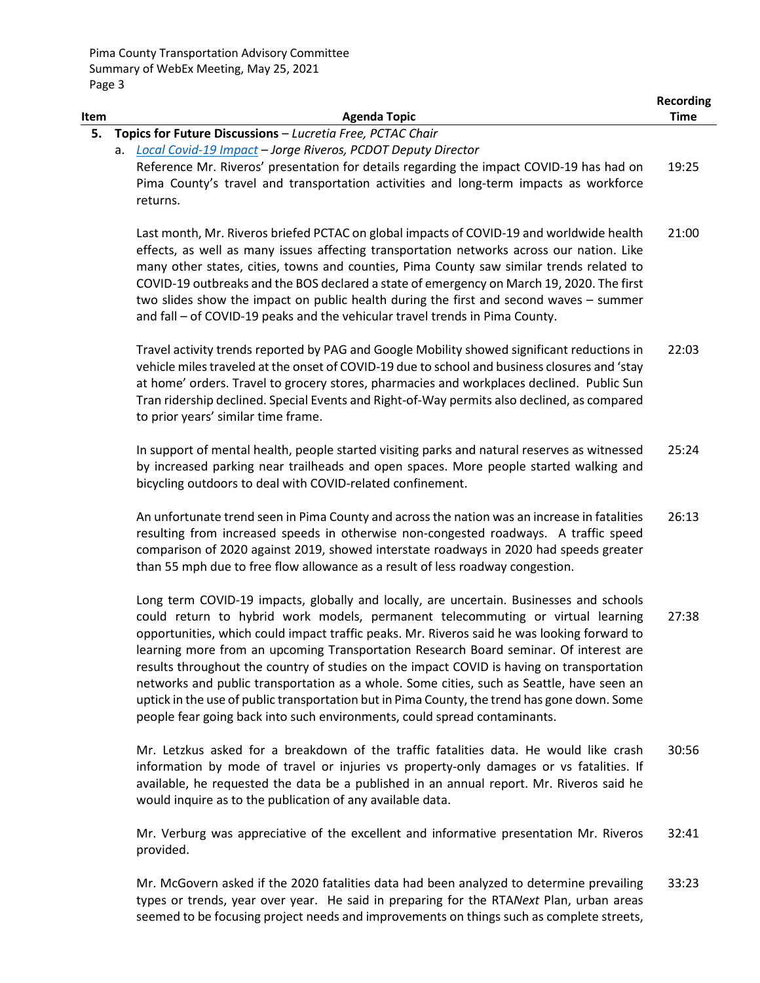| Item | <b>Agenda Topic</b>                                                                                                                                                                                                                                                                                                                                                                                                                                                                                                                                                                                                                                                                                                                       | <b>Recording</b><br><b>Time</b> |
|------|-------------------------------------------------------------------------------------------------------------------------------------------------------------------------------------------------------------------------------------------------------------------------------------------------------------------------------------------------------------------------------------------------------------------------------------------------------------------------------------------------------------------------------------------------------------------------------------------------------------------------------------------------------------------------------------------------------------------------------------------|---------------------------------|
| 5.   | Topics for Future Discussions - Lucretia Free, PCTAC Chair                                                                                                                                                                                                                                                                                                                                                                                                                                                                                                                                                                                                                                                                                |                                 |
|      | a. Local Covid-19 Impact - Jorge Riveros, PCDOT Deputy Director<br>Reference Mr. Riveros' presentation for details regarding the impact COVID-19 has had on<br>Pima County's travel and transportation activities and long-term impacts as workforce<br>returns.                                                                                                                                                                                                                                                                                                                                                                                                                                                                          | 19:25                           |
|      | Last month, Mr. Riveros briefed PCTAC on global impacts of COVID-19 and worldwide health<br>effects, as well as many issues affecting transportation networks across our nation. Like<br>many other states, cities, towns and counties, Pima County saw similar trends related to<br>COVID-19 outbreaks and the BOS declared a state of emergency on March 19, 2020. The first<br>two slides show the impact on public health during the first and second waves - summer<br>and fall - of COVID-19 peaks and the vehicular travel trends in Pima County.                                                                                                                                                                                  | 21:00                           |
|      | Travel activity trends reported by PAG and Google Mobility showed significant reductions in<br>vehicle miles traveled at the onset of COVID-19 due to school and business closures and 'stay<br>at home' orders. Travel to grocery stores, pharmacies and workplaces declined. Public Sun<br>Tran ridership declined. Special Events and Right-of-Way permits also declined, as compared<br>to prior years' similar time frame.                                                                                                                                                                                                                                                                                                           | 22:03                           |
|      | In support of mental health, people started visiting parks and natural reserves as witnessed<br>by increased parking near trailheads and open spaces. More people started walking and<br>bicycling outdoors to deal with COVID-related confinement.                                                                                                                                                                                                                                                                                                                                                                                                                                                                                       | 25:24                           |
|      | An unfortunate trend seen in Pima County and across the nation was an increase in fatalities<br>resulting from increased speeds in otherwise non-congested roadways. A traffic speed<br>comparison of 2020 against 2019, showed interstate roadways in 2020 had speeds greater<br>than 55 mph due to free flow allowance as a result of less roadway congestion.                                                                                                                                                                                                                                                                                                                                                                          | 26:13                           |
|      | Long term COVID-19 impacts, globally and locally, are uncertain. Businesses and schools<br>could return to hybrid work models, permanent telecommuting or virtual learning<br>opportunities, which could impact traffic peaks. Mr. Riveros said he was looking forward to<br>learning more from an upcoming Transportation Research Board seminar. Of interest are<br>results throughout the country of studies on the impact COVID is having on transportation<br>networks and public transportation as a whole. Some cities, such as Seattle, have seen an<br>uptick in the use of public transportation but in Pima County, the trend has gone down. Some<br>people fear going back into such environments, could spread contaminants. | 27:38                           |
|      | Mr. Letzkus asked for a breakdown of the traffic fatalities data. He would like crash<br>information by mode of travel or injuries vs property-only damages or vs fatalities. If<br>available, he requested the data be a published in an annual report. Mr. Riveros said he<br>would inquire as to the publication of any available data.                                                                                                                                                                                                                                                                                                                                                                                                | 30:56                           |
|      | Mr. Verburg was appreciative of the excellent and informative presentation Mr. Riveros<br>provided.                                                                                                                                                                                                                                                                                                                                                                                                                                                                                                                                                                                                                                       | 32:41                           |

Mr. McGovern asked if the 2020 fatalities data had been analyzed to determine prevailing types or trends, year over year. He said in preparing for the RTA*Next* Plan, urban areas seemed to be focusing project needs and improvements on things such as complete streets, 33:23